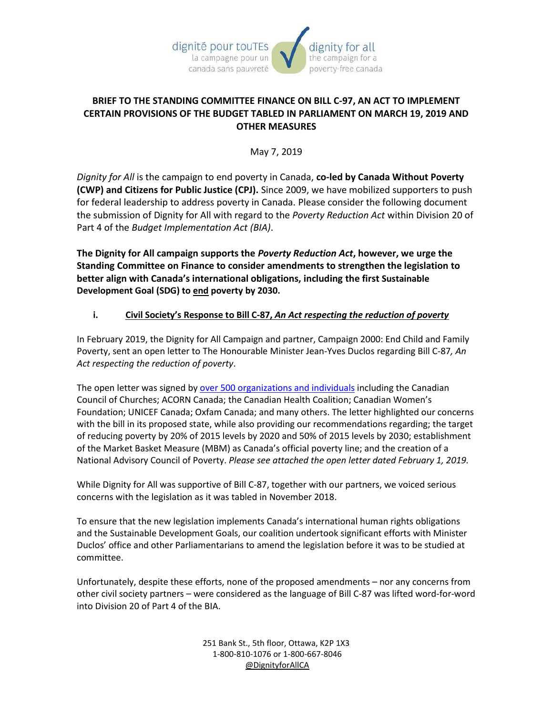

## **BRIEF TO THE STANDING COMMITTEE FINANCE ON BILL C-97, AN ACT TO IMPLEMENT CERTAIN PROVISIONS OF THE BUDGET TABLED IN PARLIAMENT ON MARCH 19, 2019 AND OTHER MEASURES**

May 7, 2019

*Dignity for All* is the campaign to end poverty in Canada, **co-led by Canada Without Poverty (CWP) and Citizens for Public Justice (CPJ).** Since 2009, we have mobilized supporters to push for federal leadership to address poverty in Canada. Please consider the following document the submission of Dignity for All with regard to the *Poverty Reduction Act* within Division 20 of Part 4 of the *Budget Implementation Act (BIA)*.

**The Dignity for All campaign supports the** *Poverty Reduction Act***, however, we urge the Standing Committee on Finance to consider amendments to strengthen the legislation to better align with Canada's international obligations, including the first Sustainable Development Goal (SDG) to end poverty by 2030.** 

## **i. Civil Society's Response to Bill C-87,** *An Act respecting the reduction of poverty*

In February 2019, the Dignity for All Campaign and partner, Campaign 2000: End Child and Family Poverty, sent an open letter to The Honourable Minister Jean-Yves Duclos regarding Bill C-87*, An Act respecting the reduction of poverty*.

The open letter was signed by [over 500 organizations and individuals](https://dignityforall.ca/open-letter-strengthen-canadas-poverty-reduction-bill/) including the Canadian Council of Churches; ACORN Canada; the Canadian Health Coalition; Canadian Women's Foundation; UNICEF Canada; Oxfam Canada; and many others. The letter highlighted our concerns with the bill in its proposed state, while also providing our recommendations regarding; the target of reducing poverty by 20% of 2015 levels by 2020 and 50% of 2015 levels by 2030; establishment of the Market Basket Measure (MBM) as Canada's official poverty line; and the creation of a National Advisory Council of Poverty. *Please see attached the open letter dated February 1, 2019.* 

While Dignity for All was supportive of Bill C-87, together with our partners, we voiced serious concerns with the legislation as it was tabled in November 2018.

To ensure that the new legislation implements Canada's international human rights obligations and the Sustainable Development Goals, our coalition undertook significant efforts with Minister Duclos' office and other Parliamentarians to amend the legislation before it was to be studied at committee.

Unfortunately, despite these efforts, none of the proposed amendments – nor any concerns from other civil society partners – were considered as the language of Bill C-87 was lifted word-for-word into Division 20 of Part 4 of the BIA.

> 251 Bank St., 5th floor, Ottawa, K2P 1X3 1-800-810-1076 or 1-800-667-8046  [@DignityforAllCA](https://twitter.com/dignityforallca)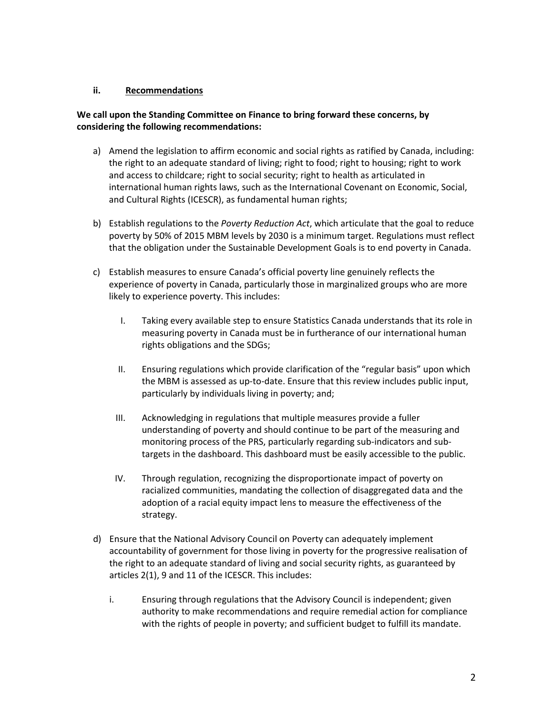### **ii. Recommendations**

### **We call upon the Standing Committee on Finance to bring forward these concerns, by considering the following recommendations:**

- a) Amend the legislation to affirm economic and social rights as ratified by Canada, including: the right to an adequate standard of living; right to food; right to housing; right to work and access to childcare; right to social security; right to health as articulated in international human rights laws, such as the International Covenant on Economic, Social, and Cultural Rights (ICESCR), as fundamental human rights;
- b) Establish regulations to the *Poverty Reduction Act*, which articulate that the goal to reduce poverty by 50% of 2015 MBM levels by 2030 is a minimum target. Regulations must reflect that the obligation under the Sustainable Development Goals is to end poverty in Canada.
- c) Establish measures to ensure Canada's official poverty line genuinely reflects the experience of poverty in Canada, particularly those in marginalized groups who are more likely to experience poverty. This includes:
	- I. Taking every available step to ensure Statistics Canada understands that its role in measuring poverty in Canada must be in furtherance of our international human rights obligations and the SDGs;
	- II. Ensuring regulations which provide clarification of the "regular basis" upon which the MBM is assessed as up-to-date. Ensure that this review includes public input, particularly by individuals living in poverty; and;
	- III. Acknowledging in regulations that multiple measures provide a fuller understanding of poverty and should continue to be part of the measuring and monitoring process of the PRS, particularly regarding sub-indicators and subtargets in the dashboard. This dashboard must be easily accessible to the public.
	- IV. Through regulation, recognizing the disproportionate impact of poverty on racialized communities, mandating the collection of disaggregated data and the adoption of a racial equity impact lens to measure the effectiveness of the strategy.
- d) Ensure that the National Advisory Council on Poverty can adequately implement accountability of government for those living in poverty for the progressive realisation of the right to an adequate standard of living and social security rights, as guaranteed by articles 2(1), 9 and 11 of the ICESCR. This includes:
	- i. Ensuring through regulations that the Advisory Council is independent; given authority to make recommendations and require remedial action for compliance with the rights of people in poverty; and sufficient budget to fulfill its mandate.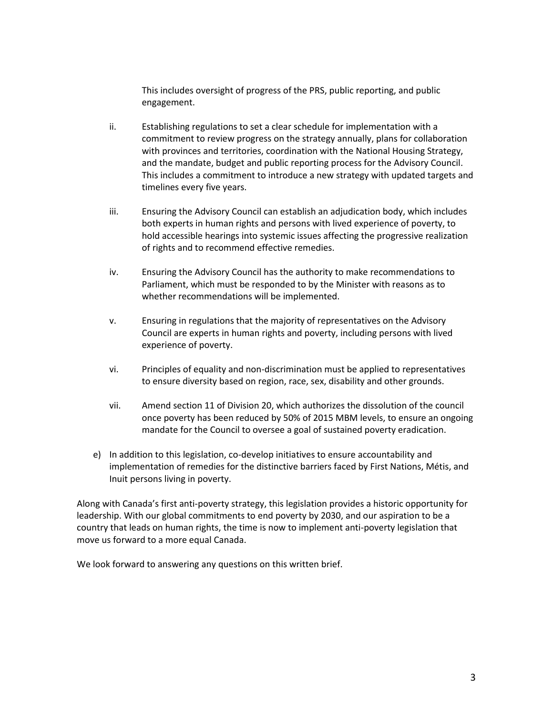This includes oversight of progress of the PRS, public reporting, and public engagement.

- ii. Establishing regulations to set a clear schedule for implementation with a commitment to review progress on the strategy annually, plans for collaboration with provinces and territories, coordination with the National Housing Strategy, and the mandate, budget and public reporting process for the Advisory Council. This includes a commitment to introduce a new strategy with updated targets and timelines every five years.
- iii. Ensuring the Advisory Council can establish an adjudication body, which includes both experts in human rights and persons with lived experience of poverty, to hold accessible hearings into systemic issues affecting the progressive realization of rights and to recommend effective remedies.
- iv. Ensuring the Advisory Council has the authority to make recommendations to Parliament, which must be responded to by the Minister with reasons as to whether recommendations will be implemented.
- v. Ensuring in regulations that the majority of representatives on the Advisory Council are experts in human rights and poverty, including persons with lived experience of poverty.
- vi. Principles of equality and non-discrimination must be applied to representatives to ensure diversity based on region, race, sex, disability and other grounds.
- vii. Amend section 11 of Division 20, which authorizes the dissolution of the council once poverty has been reduced by 50% of 2015 MBM levels, to ensure an ongoing mandate for the Council to oversee a goal of sustained poverty eradication.
- e) In addition to this legislation, co-develop initiatives to ensure accountability and implementation of remedies for the distinctive barriers faced by First Nations, Métis, and Inuit persons living in poverty.

Along with Canada's first anti-poverty strategy, this legislation provides a historic opportunity for leadership. With our global commitments to end poverty by 2030, and our aspiration to be a country that leads on human rights, the time is now to implement anti-poverty legislation that move us forward to a more equal Canada.

We look forward to answering any questions on this written brief.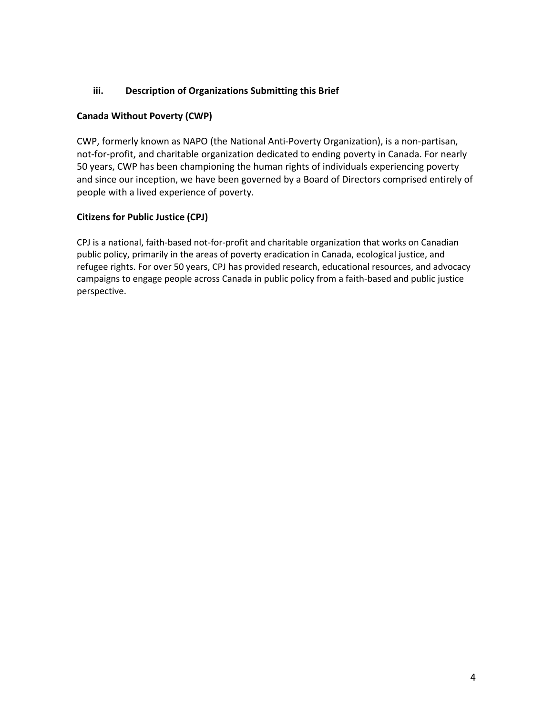## **iii. Description of Organizations Submitting this Brief**

## **Canada Without Poverty (CWP)**

CWP, formerly known as NAPO (the National Anti-Poverty Organization), is a non-partisan, not-for-profit, and charitable organization dedicated to ending poverty in Canada. For nearly 50 years, CWP has been championing the human rights of individuals experiencing poverty and since our inception, we have been governed by a Board of Directors comprised entirely of people with a lived experience of poverty.

## **Citizens for Public Justice (CPJ)**

CPJ is a national, faith-based not-for-profit and charitable organization that works on Canadian public policy, primarily in the areas of poverty eradication in Canada, ecological justice, and refugee rights. For over 50 years, CPJ has provided research, educational resources, and advocacy campaigns to engage people across Canada in public policy from a faith-based and public justice perspective.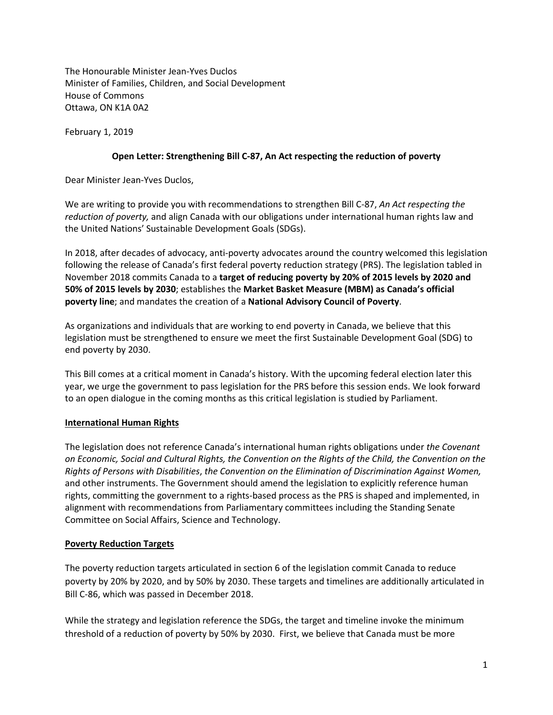The Honourable Minister Jean-Yves Duclos Minister of Families, Children, and Social Development House of Commons Ottawa, ON K1A 0A2

February 1, 2019

### **Open Letter: Strengthening Bill C-87, An Act respecting the reduction of poverty**

Dear Minister Jean-Yves Duclos,

We are writing to provide you with recommendations to strengthen Bill C-87, *An Act respecting the reduction of poverty,* and align Canada with our obligations under international human rights law and the United Nations' Sustainable Development Goals (SDGs).

In 2018, after decades of advocacy, anti-poverty advocates around the country welcomed this legislation following the release of Canada's first federal poverty reduction strategy (PRS). The legislation tabled in November 2018 commits Canada to a **target of reducing poverty by 20% of 2015 levels by 2020 and 50% of 2015 levels by 2030**; establishes the **Market Basket Measure (MBM) as Canada's official poverty line**; and mandates the creation of a **National Advisory Council of Poverty**.

As organizations and individuals that are working to end poverty in Canada, we believe that this legislation must be strengthened to ensure we meet the first Sustainable Development Goal (SDG) to end poverty by 2030.

This Bill comes at a critical moment in Canada's history. With the upcoming federal election later this year, we urge the government to pass legislation for the PRS before this session ends. We look forward to an open dialogue in the coming months as this critical legislation is studied by Parliament.

## **International Human Rights**

The legislation does not reference Canada's international human rights obligations under *the Covenant on Economic, Social and Cultural Rights, the Convention on the Rights of the Child, the Convention on the Rights of Persons with Disabilities*, *the Convention on the Elimination of Discrimination Against Women,* and other instruments. The Government should amend the legislation to explicitly reference human rights, committing the government to a rights-based process as the PRS is shaped and implemented, in alignment with recommendations from Parliamentary committees including the Standing Senate Committee on Social Affairs, Science and Technology.

### **Poverty Reduction Targets**

The poverty reduction targets articulated in section 6 of the legislation commit Canada to reduce poverty by 20% by 2020, and by 50% by 2030. These targets and timelines are additionally articulated in Bill C-86, which was passed in December 2018.

While the strategy and legislation reference the SDGs, the target and timeline invoke the minimum threshold of a reduction of poverty by 50% by 2030. First, we believe that Canada must be more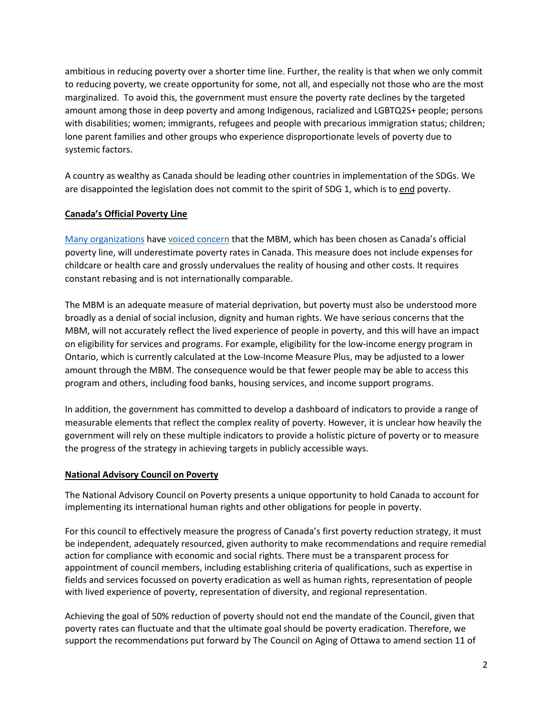ambitious in reducing poverty over a shorter time line. Further, the reality is that when we only commit to reducing poverty, we create opportunity for some, not all, and especially not those who are the most marginalized. To avoid this, the government must ensure the poverty rate declines by the targeted amount among those in deep poverty and among Indigenous, racialized and LGBTQ2S+ people; persons with disabilities; women; immigrants, refugees and people with precarious immigration status; children; lone parent families and other groups who experience disproportionate levels of poverty due to systemic factors.

A country as wealthy as Canada should be leading other countries in implementation of the SDGs. We are disappointed the legislation does not commit to the spirit of SDG 1, which is to end poverty.

## **Canada's Official Poverty Line**

[Many organizations](https://campaign2000.ca/1106-2/) hav[e voiced concern](http://policyoptions.irpp.org/magazines/december-2018/need-fix-canadas-new-measure-poverty/?platform=hootsuite) that the MBM, which has been chosen as Canada's official poverty line, will underestimate poverty rates in Canada. This measure does not include expenses for childcare or health care and grossly undervalues the reality of housing and other costs. It requires constant rebasing and is not internationally comparable.

The MBM is an adequate measure of material deprivation, but poverty must also be understood more broadly as a denial of social inclusion, dignity and human rights. We have serious concerns that the MBM, will not accurately reflect the lived experience of people in poverty, and this will have an impact on eligibility for services and programs. For example, eligibility for the low-income energy program in Ontario, which is currently calculated at the Low-Income Measure Plus, may be adjusted to a lower amount through the MBM. The consequence would be that fewer people may be able to access this program and others, including food banks, housing services, and income support programs.

In addition, the government has committed to develop a dashboard of indicators to provide a range of measurable elements that reflect the complex reality of poverty. However, it is unclear how heavily the government will rely on these multiple indicators to provide a holistic picture of poverty or to measure the progress of the strategy in achieving targets in publicly accessible ways.

### **National Advisory Council on Poverty**

The National Advisory Council on Poverty presents a unique opportunity to hold Canada to account for implementing its international human rights and other obligations for people in poverty.

For this council to effectively measure the progress of Canada's first poverty reduction strategy, it must be independent, adequately resourced, given authority to make recommendations and require remedial action for compliance with economic and social rights. There must be a transparent process for appointment of council members, including establishing criteria of qualifications, such as expertise in fields and services focussed on poverty eradication as well as human rights, representation of people with lived experience of poverty, representation of diversity, and regional representation.

Achieving the goal of 50% reduction of poverty should not end the mandate of the Council, given that poverty rates can fluctuate and that the ultimate goal should be poverty eradication. Therefore, we support the recommendations put forward by The Council on Aging of Ottawa to amend section 11 of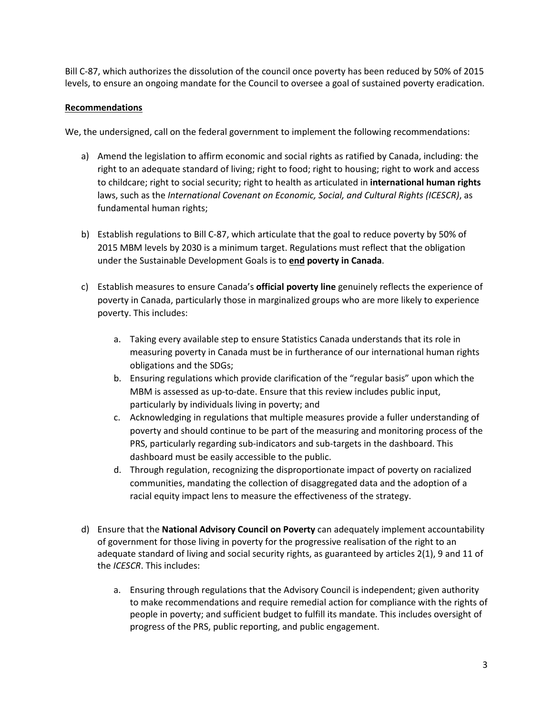Bill C-87, which authorizes the dissolution of the council once poverty has been reduced by 50% of 2015 levels, to ensure an ongoing mandate for the Council to oversee a goal of sustained poverty eradication.

### **Recommendations**

We, the undersigned, call on the federal government to implement the following recommendations:

- a) Amend the legislation to affirm economic and social rights as ratified by Canada, including: the right to an adequate standard of living; right to food; right to housing; right to work and access to childcare; right to social security; right to health as articulated in **international human rights**  laws, such as the *International Covenant on Economic, Social, and Cultural Rights (ICESCR)*, as fundamental human rights;
- b) Establish regulations to Bill C-87, which articulate that the goal to reduce poverty by 50% of 2015 MBM levels by 2030 is a minimum target. Regulations must reflect that the obligation under the Sustainable Development Goals is to **end poverty in Canada**.
- c) Establish measures to ensure Canada's **official poverty line** genuinely reflects the experience of poverty in Canada, particularly those in marginalized groups who are more likely to experience poverty. This includes:
	- a. Taking every available step to ensure Statistics Canada understands that its role in measuring poverty in Canada must be in furtherance of our international human rights obligations and the SDGs;
	- b. Ensuring regulations which provide clarification of the "regular basis" upon which the MBM is assessed as up-to-date. Ensure that this review includes public input, particularly by individuals living in poverty; and
	- c. Acknowledging in regulations that multiple measures provide a fuller understanding of poverty and should continue to be part of the measuring and monitoring process of the PRS, particularly regarding sub-indicators and sub-targets in the dashboard. This dashboard must be easily accessible to the public.
	- d. Through regulation, recognizing the disproportionate impact of poverty on racialized communities, mandating the collection of disaggregated data and the adoption of a racial equity impact lens to measure the effectiveness of the strategy.
- d) Ensure that the **National Advisory Council on Poverty** can adequately implement accountability of government for those living in poverty for the progressive realisation of the right to an adequate standard of living and social security rights, as guaranteed by articles 2(1), 9 and 11 of the *ICESCR*. This includes:
	- a. Ensuring through regulations that the Advisory Council is independent; given authority to make recommendations and require remedial action for compliance with the rights of people in poverty; and sufficient budget to fulfill its mandate. This includes oversight of progress of the PRS, public reporting, and public engagement.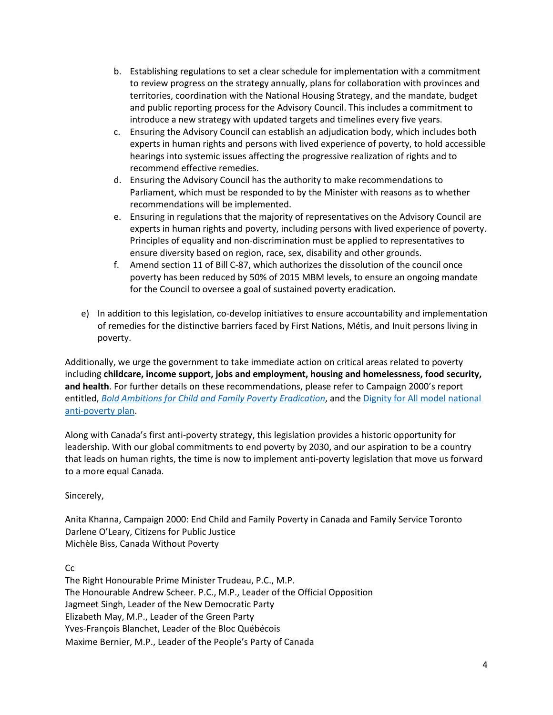- b. Establishing regulations to set a clear schedule for implementation with a commitment to review progress on the strategy annually, plans for collaboration with provinces and territories, coordination with the National Housing Strategy, and the mandate, budget and public reporting process for the Advisory Council. This includes a commitment to introduce a new strategy with updated targets and timelines every five years.
- c. Ensuring the Advisory Council can establish an adjudication body, which includes both experts in human rights and persons with lived experience of poverty, to hold accessible hearings into systemic issues affecting the progressive realization of rights and to recommend effective remedies.
- d. Ensuring the Advisory Council has the authority to make recommendations to Parliament, which must be responded to by the Minister with reasons as to whether recommendations will be implemented.
- e. Ensuring in regulations that the majority of representatives on the Advisory Council are experts in human rights and poverty, including persons with lived experience of poverty. Principles of equality and non-discrimination must be applied to representatives to ensure diversity based on region, race, sex, disability and other grounds.
- f. Amend section 11 of Bill C-87, which authorizes the dissolution of the council once poverty has been reduced by 50% of 2015 MBM levels, to ensure an ongoing mandate for the Council to oversee a goal of sustained poverty eradication.
- e) In addition to this legislation, co-develop initiatives to ensure accountability and implementation of remedies for the distinctive barriers faced by First Nations, Métis, and Inuit persons living in poverty.

Additionally, we urge the government to take immediate action on critical areas related to poverty including **childcare, income support, jobs and employment, housing and homelessness, food security, and health**. For further details on these recommendations, please refer to Campaign 2000's report entitled, *[Bold Ambitions for Child and Family Poverty Eradication](https://campaign2000.ca/1106-2/)*, and the [Dignity for All model national](https://dignityforall.ca/about/our-plan/)  [anti-poverty plan.](https://dignityforall.ca/about/our-plan/)

Along with Canada's first anti-poverty strategy, this legislation provides a historic opportunity for leadership. With our global commitments to end poverty by 2030, and our aspiration to be a country that leads on human rights, the time is now to implement anti-poverty legislation that move us forward to a more equal Canada.

Sincerely,

Anita Khanna, Campaign 2000: End Child and Family Poverty in Canada and Family Service Toronto Darlene O'Leary, Citizens for Public Justice Michèle Biss, Canada Without Poverty

Cc

The Right Honourable Prime Minister Trudeau, P.C., M.P. The Honourable Andrew Scheer. P.C., M.P., Leader of the Official Opposition Jagmeet Singh, Leader of the New Democratic Party Elizabeth May, M.P., Leader of the Green Party Yves-François Blanchet, Leader of the Bloc Québécois Maxime Bernier, M.P., Leader of the People's Party of Canada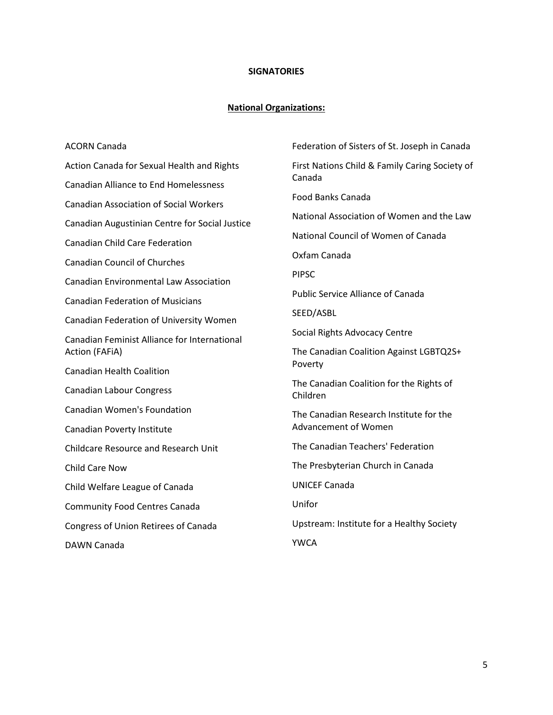## **SIGNATORIES**

## **National Organizations:**

| <b>ACORN Canada</b>                            | Federation of Sisters of St. Joseph in Canada            |  |
|------------------------------------------------|----------------------------------------------------------|--|
| Action Canada for Sexual Health and Rights     | First Nations Child & Family Caring Society of<br>Canada |  |
| <b>Canadian Alliance to End Homelessness</b>   |                                                          |  |
| <b>Canadian Association of Social Workers</b>  | <b>Food Banks Canada</b>                                 |  |
| Canadian Augustinian Centre for Social Justice | National Association of Women and the Law                |  |
| <b>Canadian Child Care Federation</b>          | National Council of Women of Canada                      |  |
| <b>Canadian Council of Churches</b>            | Oxfam Canada                                             |  |
| <b>Canadian Environmental Law Association</b>  | <b>PIPSC</b>                                             |  |
| <b>Canadian Federation of Musicians</b>        | <b>Public Service Alliance of Canada</b>                 |  |
| Canadian Federation of University Women        | SEED/ASBL                                                |  |
| Canadian Feminist Alliance for International   | Social Rights Advocacy Centre                            |  |
| Action (FAFiA)                                 | The Canadian Coalition Against LGBTQ2S+<br>Poverty       |  |
| <b>Canadian Health Coalition</b>               |                                                          |  |
| <b>Canadian Labour Congress</b>                | The Canadian Coalition for the Rights of<br>Children     |  |
| <b>Canadian Women's Foundation</b>             | The Canadian Research Institute for the                  |  |
| Canadian Poverty Institute                     | Advancement of Women                                     |  |
| <b>Childcare Resource and Research Unit</b>    | The Canadian Teachers' Federation                        |  |
| <b>Child Care Now</b>                          | The Presbyterian Church in Canada                        |  |
| Child Welfare League of Canada                 | <b>UNICEF Canada</b>                                     |  |
| <b>Community Food Centres Canada</b>           | Unifor                                                   |  |
| Congress of Union Retirees of Canada           | Upstream: Institute for a Healthy Society                |  |
| DAWN Canada                                    | <b>YWCA</b>                                              |  |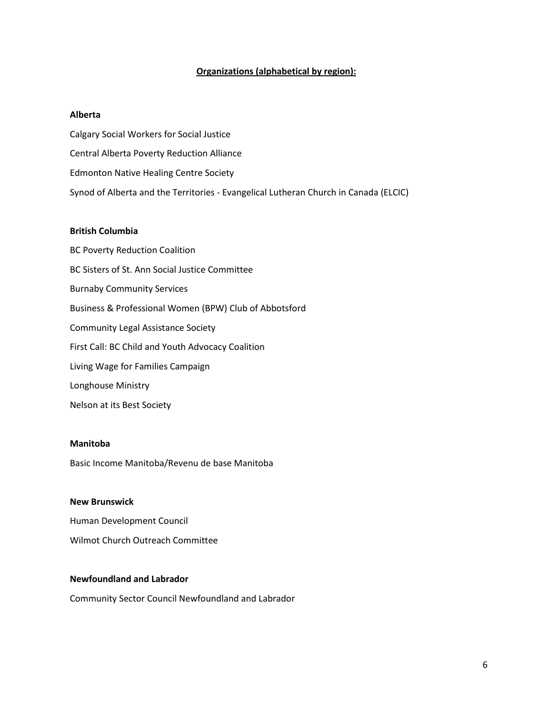#### **Organizations (alphabetical by region):**

#### **Alberta**

Calgary Social Workers for Social Justice Central Alberta Poverty Reduction Alliance Edmonton Native Healing Centre Society Synod of Alberta and the Territories - Evangelical Lutheran Church in Canada (ELCIC)

#### **British Columbia**

BC Poverty Reduction Coalition BC Sisters of St. Ann Social Justice Committee Burnaby Community Services Business & Professional Women (BPW) Club of Abbotsford Community Legal Assistance Society First Call: BC Child and Youth Advocacy Coalition Living Wage for Families Campaign Longhouse Ministry

Nelson at its Best Society

#### **Manitoba**

Basic Income Manitoba/Revenu de base Manitoba

#### **New Brunswick**

Human Development Council

Wilmot Church Outreach Committee

#### **Newfoundland and Labrador**

Community Sector Council Newfoundland and Labrador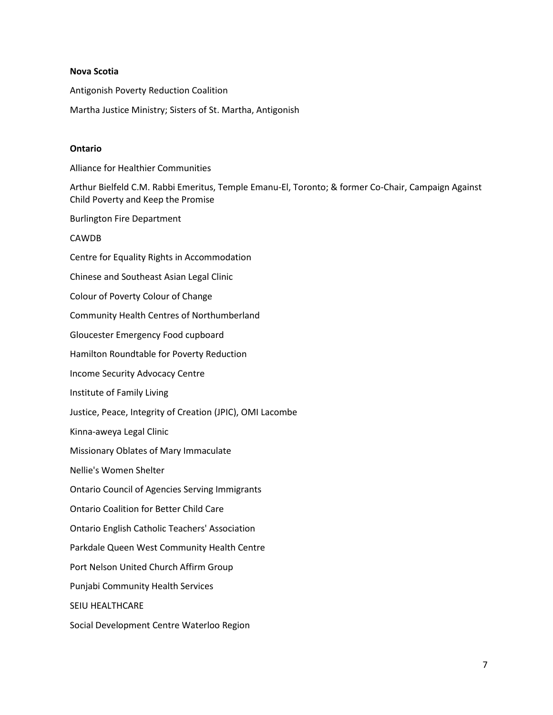#### **Nova Scotia**

Antigonish Poverty Reduction Coalition

Martha Justice Ministry; Sisters of St. Martha, Antigonish

#### **Ontario**

Alliance for Healthier Communities

Arthur Bielfeld C.M. Rabbi Emeritus, Temple Emanu-El, Toronto; & former Co-Chair, Campaign Against Child Poverty and Keep the Promise

Burlington Fire Department

#### CAWDB

Centre for Equality Rights in Accommodation Chinese and Southeast Asian Legal Clinic Colour of Poverty Colour of Change Community Health Centres of Northumberland Gloucester Emergency Food cupboard Hamilton Roundtable for Poverty Reduction Income Security Advocacy Centre Institute of Family Living Justice, Peace, Integrity of Creation (JPIC), OMI Lacombe Kinna-aweya Legal Clinic Missionary Oblates of Mary Immaculate Nellie's Women Shelter Ontario Council of Agencies Serving Immigrants Ontario Coalition for Better Child Care Ontario English Catholic Teachers' Association Parkdale Queen West Community Health Centre Port Nelson United Church Affirm Group Punjabi Community Health Services SEIU HEALTHCARE Social Development Centre Waterloo Region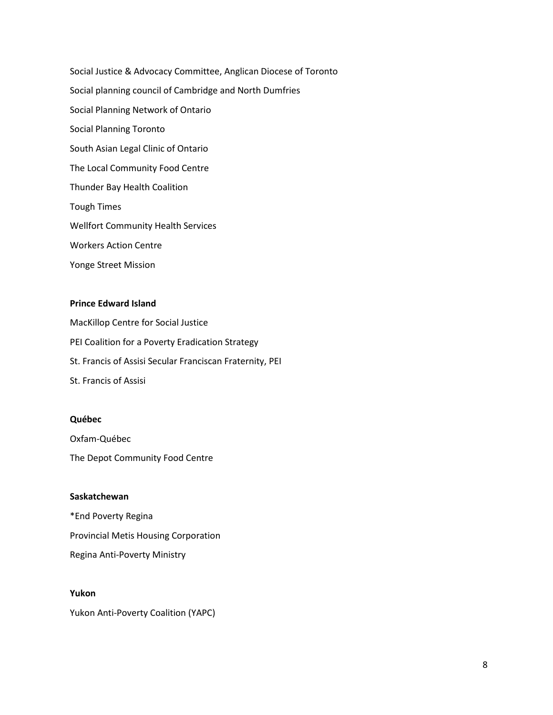Social Justice & Advocacy Committee, Anglican Diocese of Toronto Social planning council of Cambridge and North Dumfries Social Planning Network of Ontario Social Planning Toronto South Asian Legal Clinic of Ontario The Local Community Food Centre Thunder Bay Health Coalition Tough Times Wellfort Community Health Services Workers Action Centre Yonge Street Mission

#### **Prince Edward Island**

MacKillop Centre for Social Justice PEI Coalition for a Poverty Eradication Strategy St. Francis of Assisi Secular Franciscan Fraternity, PEI St. Francis of Assisi

#### **Québec**

Oxfam-Québec The Depot Community Food Centre

### **Saskatchewan**

\*End Poverty Regina Provincial Metis Housing Corporation Regina Anti-Poverty Ministry

### **Yukon**

Yukon Anti-Poverty Coalition (YAPC)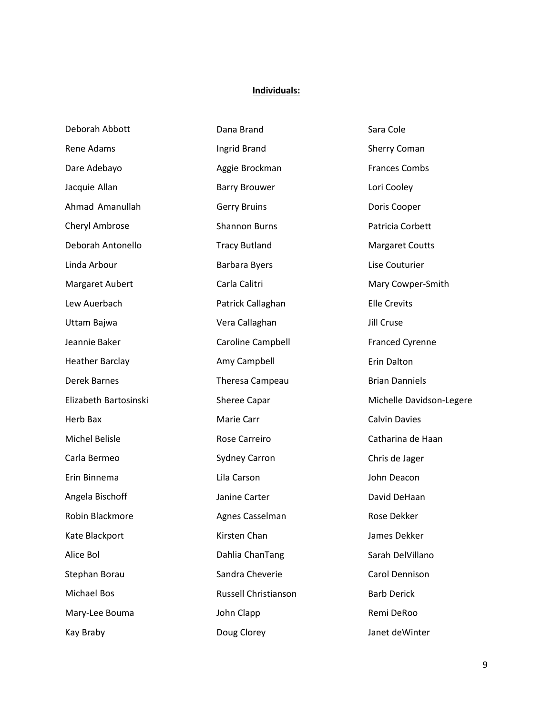# **Individuals:**

| Deborah Abbott         | Dana Brand           | Sara Cole                |
|------------------------|----------------------|--------------------------|
| Rene Adams             | Ingrid Brand         | Sherry Coman             |
| Dare Adebayo           | Aggie Brockman       | <b>Frances Combs</b>     |
| Jacquie Allan          | <b>Barry Brouwer</b> | Lori Cooley              |
| Ahmad Amanullah        | <b>Gerry Bruins</b>  | Doris Cooper             |
| Cheryl Ambrose         | <b>Shannon Burns</b> | Patricia Corbett         |
| Deborah Antonello      | <b>Tracy Butland</b> | <b>Margaret Coutts</b>   |
| Linda Arbour           | Barbara Byers        | Lise Couturier           |
| Margaret Aubert        | Carla Calitri        | Mary Cowper-Smith        |
| Lew Auerbach           | Patrick Callaghan    | <b>Elle Crevits</b>      |
| Uttam Bajwa            | Vera Callaghan       | Jill Cruse               |
| Jeannie Baker          | Caroline Campbell    | <b>Franced Cyrenne</b>   |
| <b>Heather Barclay</b> | Amy Campbell         | <b>Erin Dalton</b>       |
| <b>Derek Barnes</b>    | Theresa Campeau      | <b>Brian Danniels</b>    |
| Elizabeth Bartosinski  | Sheree Capar         | Michelle Davidson-Legere |
| Herb Bax               | Marie Carr           | <b>Calvin Davies</b>     |
| Michel Belisle         | Rose Carreiro        | Catharina de Haan        |
| Carla Bermeo           | <b>Sydney Carron</b> | Chris de Jager           |
| Erin Binnema           | Lila Carson          | John Deacon              |
| Angela Bischoff        | Janine Carter        | David DeHaan             |
| Robin Blackmore        | Agnes Casselman      | Rose Dekker              |
| Kate Blackport         | Kirsten Chan         | James Dekker             |
| Alice Bol              | Dahlia ChanTang      | Sarah DelVillano         |
| Stephan Borau          | Sandra Cheverie      | Carol Dennison           |
| Michael Bos            | Russell Christianson | <b>Barb Derick</b>       |
| Mary-Lee Bouma         | John Clapp           | Remi DeRoo               |
| Kay Braby              | Doug Clorey          | Janet deWinter           |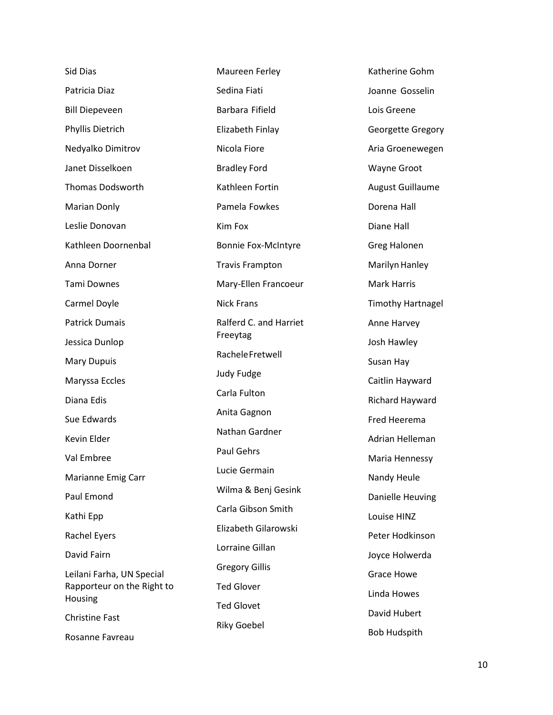| Maureen Ferley                          | Katherine Gohm                                                                               |
|-----------------------------------------|----------------------------------------------------------------------------------------------|
| Sedina Fiati                            | Joanne Gosselin                                                                              |
| Barbara Fifield                         | Lois Greene                                                                                  |
| Elizabeth Finlay                        | <b>Georgette Gregory</b>                                                                     |
| Nicola Fiore                            | Aria Groenewegen                                                                             |
| <b>Bradley Ford</b>                     | Wayne Groot                                                                                  |
| Kathleen Fortin                         | <b>August Guillaume</b>                                                                      |
| Pamela Fowkes                           | Dorena Hall                                                                                  |
| Kim Fox                                 | Diane Hall                                                                                   |
| <b>Bonnie Fox-McIntyre</b>              | Greg Halonen                                                                                 |
| <b>Travis Frampton</b>                  | Marilyn Hanley                                                                               |
| Mary-Ellen Francoeur                    | <b>Mark Harris</b>                                                                           |
| <b>Nick Frans</b>                       | <b>Timothy Hartnagel</b>                                                                     |
| Ralferd C. and Harriet                  | Anne Harvey                                                                                  |
|                                         | Josh Hawley                                                                                  |
|                                         | Susan Hay                                                                                    |
|                                         | Caitlin Hayward                                                                              |
|                                         | Richard Hayward                                                                              |
|                                         | <b>Fred Heerema</b>                                                                          |
|                                         |                                                                                              |
|                                         | Adrian Helleman                                                                              |
| Paul Gehrs                              | Maria Hennessy                                                                               |
| Lucie Germain                           | Nandy Heule                                                                                  |
| Wilma & Benj Gesink                     | Danielle Heuving                                                                             |
| Carla Gibson Smith                      | Louise HINZ                                                                                  |
| Elizabeth Gilarowski                    | Peter Hodkinson                                                                              |
| Lorraine Gillan                         | Joyce Holwerda                                                                               |
| <b>Gregory Gillis</b>                   | <b>Grace Howe</b>                                                                            |
| <b>Ted Glover</b>                       | Linda Howes                                                                                  |
| <b>Ted Glovet</b><br><b>Riky Goebel</b> | David Hubert                                                                                 |
|                                         | Freeytag<br>Rachele Fretwell<br>Judy Fudge<br>Carla Fulton<br>Anita Gagnon<br>Nathan Gardner |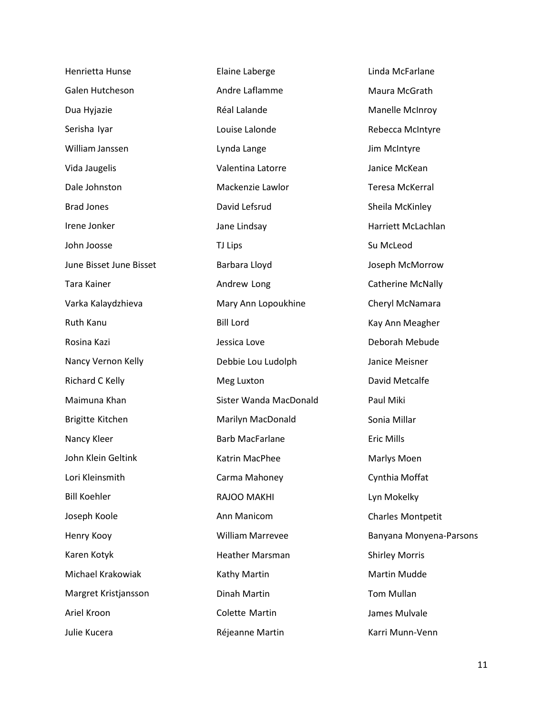| Henrietta Hunse         | Elaine Laberge          | Linda McFarlane          |
|-------------------------|-------------------------|--------------------------|
| Galen Hutcheson         | Andre Laflamme          | Maura McGrath            |
| Dua Hyjazie             | Réal Lalande            | Manelle McInroy          |
| Serisha Iyar            | Louise Lalonde          | Rebecca McIntyre         |
| William Janssen         | Lynda Lange             | Jim McIntyre             |
| Vida Jaugelis           | Valentina Latorre       | Janice McKean            |
| Dale Johnston           | Mackenzie Lawlor        | <b>Teresa McKerral</b>   |
| <b>Brad Jones</b>       | David Lefsrud           | Sheila McKinley          |
| Irene Jonker            | Jane Lindsay            | Harriett McLachlan       |
| John Joosse             | TJ Lips                 | Su McLeod                |
| June Bisset June Bisset | Barbara Lloyd           | Joseph McMorrow          |
| Tara Kainer             | Andrew Long             | <b>Catherine McNally</b> |
| Varka Kalaydzhieva      | Mary Ann Lopoukhine     | Cheryl McNamara          |
| Ruth Kanu               | <b>Bill Lord</b>        | Kay Ann Meagher          |
| Rosina Kazi             | Jessica Love            | Deborah Mebude           |
| Nancy Vernon Kelly      | Debbie Lou Ludolph      | Janice Meisner           |
| Richard C Kelly         | Meg Luxton              | David Metcalfe           |
| Maimuna Khan            | Sister Wanda MacDonald  | Paul Miki                |
| Brigitte Kitchen        | Marilyn MacDonald       | Sonia Millar             |
| Nancy Kleer             | <b>Barb MacFarlane</b>  | Eric Mills               |
| John Klein Geltink      | Katrin MacPhee          | Marlys Moen              |
| Lori Kleinsmith         | Carma Mahoney           | Cynthia Moffat           |
| <b>Bill Koehler</b>     | RAJOO MAKHI             | Lyn Mokelky              |
| Joseph Koole            | Ann Manicom             | Charles Montpetit        |
| Henry Kooy              | <b>William Marrevee</b> | Banyana Monyena-Parsons  |
| Karen Kotyk             | <b>Heather Marsman</b>  | <b>Shirley Morris</b>    |
| Michael Krakowiak       | Kathy Martin            | <b>Martin Mudde</b>      |
| Margret Kristjansson    | Dinah Martin            | Tom Mullan               |
| Ariel Kroon             | Colette Martin          | James Mulvale            |
| Julie Kucera            | Réjeanne Martin         | Karri Munn-Venn          |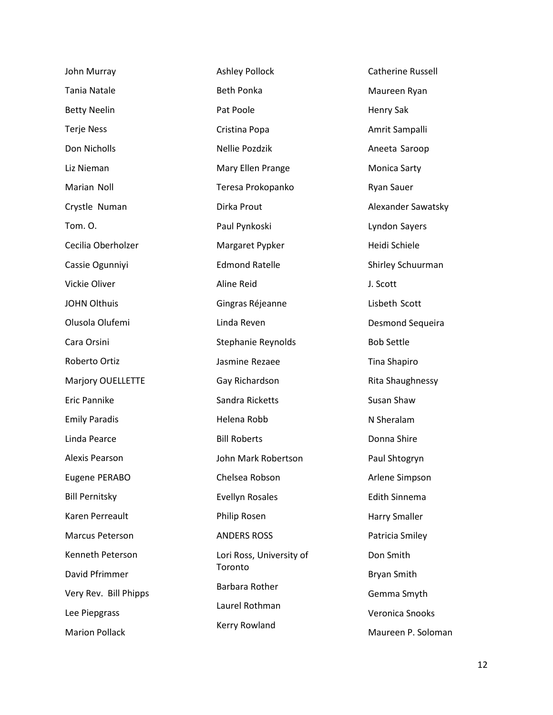| John Murray            | <b>Ashley Pollock</b>    | <b>Catherine Russell</b> |
|------------------------|--------------------------|--------------------------|
| Tania Natale           | <b>Beth Ponka</b>        | Maureen Ryan             |
| <b>Betty Neelin</b>    | Pat Poole                | Henry Sak                |
| <b>Terje Ness</b>      | Cristina Popa            | Amrit Sampalli           |
| Don Nicholls           | Nellie Pozdzik           | Aneeta Saroop            |
| Liz Nieman             | Mary Ellen Prange        | Monica Sarty             |
| Marian Noll            | Teresa Prokopanko        | <b>Ryan Sauer</b>        |
| Crystle Numan          | Dirka Prout              | Alexander Sawatsky       |
| Tom. O.                | Paul Pynkoski            | Lyndon Sayers            |
| Cecilia Oberholzer     | Margaret Pypker          | Heidi Schiele            |
| Cassie Ogunniyi        | <b>Edmond Ratelle</b>    | Shirley Schuurman        |
| Vickie Oliver          | <b>Aline Reid</b>        | J. Scott                 |
| <b>JOHN Olthuis</b>    | Gingras Réjeanne         | Lisbeth Scott            |
| Olusola Olufemi        | Linda Reven              | Desmond Sequeira         |
| Cara Orsini            | Stephanie Reynolds       | <b>Bob Settle</b>        |
| Roberto Ortiz          | Jasmine Rezaee           | Tina Shapiro             |
| Marjory OUELLETTE      | Gay Richardson           | Rita Shaughnessy         |
| Eric Pannike           | Sandra Ricketts          | Susan Shaw               |
| <b>Emily Paradis</b>   | Helena Robb              | N Sheralam               |
| Linda Pearce           | <b>Bill Roberts</b>      | Donna Shire              |
| Alexis Pearson         | John Mark Robertson      | Paul Shtogryn            |
| Eugene PERABO          | Chelsea Robson           | Arlene Simpson           |
| <b>Bill Pernitsky</b>  | <b>Evellyn Rosales</b>   | <b>Edith Sinnema</b>     |
| Karen Perreault        | Philip Rosen             | Harry Smaller            |
| <b>Marcus Peterson</b> | <b>ANDERS ROSS</b>       | Patricia Smiley          |
| Kenneth Peterson       | Lori Ross, University of | Don Smith                |
| David Pfrimmer         | Toronto                  | Bryan Smith              |
| Very Rev. Bill Phipps  | Barbara Rother           | Gemma Smyth              |
| Lee Piepgrass          | Laurel Rothman           | Veronica Snooks          |
| <b>Marion Pollack</b>  | Kerry Rowland            | Maureen P. Soloman       |